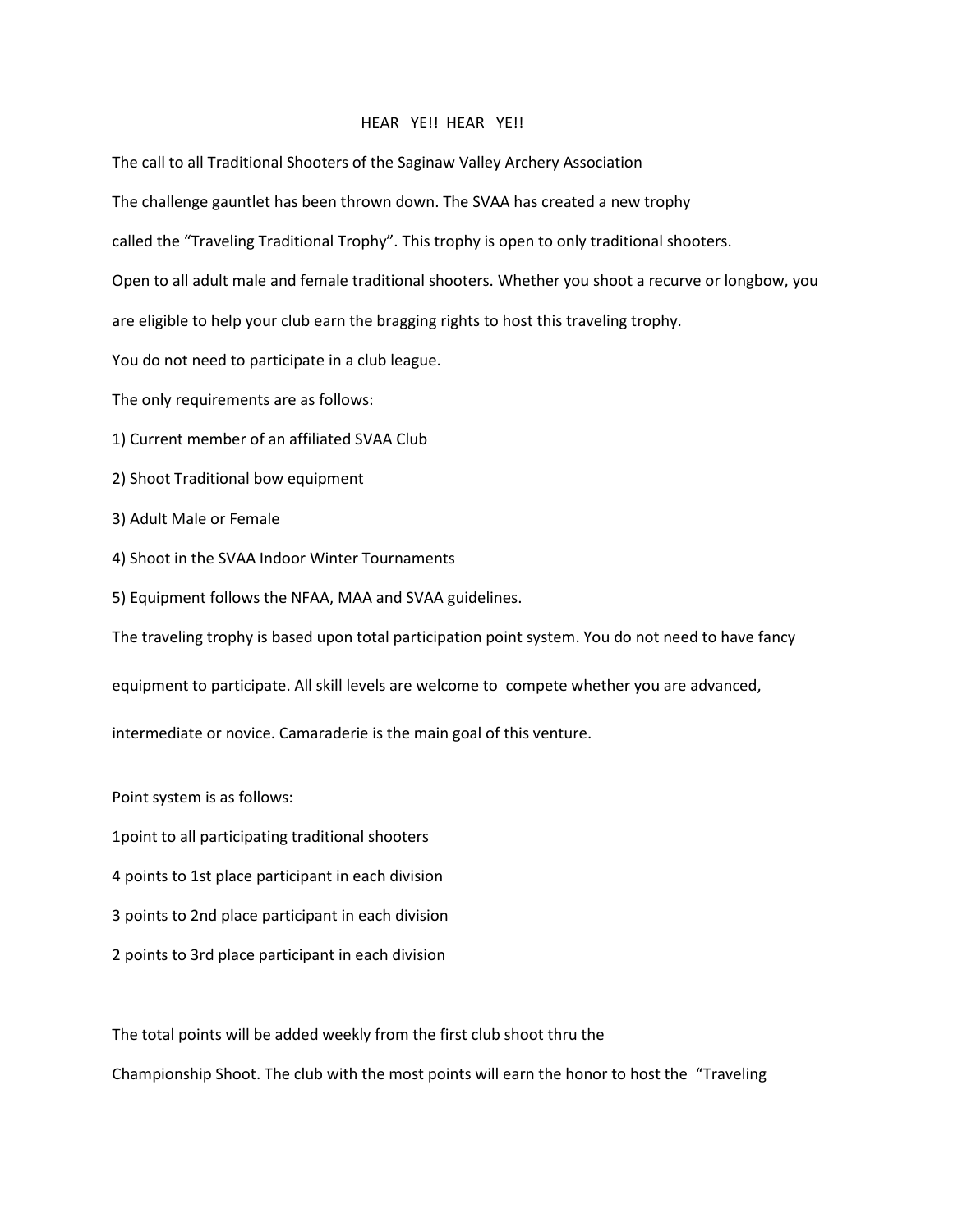## HEAR YE!! HEAR YE!!

The call to all Traditional Shooters of the Saginaw Valley Archery Association

The challenge gauntlet has been thrown down. The SVAA has created a new trophy

called the "Traveling Traditional Trophy". This trophy is open to only traditional shooters.

Open to all adult male and female traditional shooters. Whether you shoot a recurve or longbow, you

are eligible to help your club earn the bragging rights to host this traveling trophy.

You do not need to participate in a club league.

The only requirements are as follows:

1) Current member of an affiliated SVAA Club

- 2) Shoot Traditional bow equipment
- 3) Adult Male or Female
- 4) Shoot in the SVAA Indoor Winter Tournaments
- 5) Equipment follows the NFAA, MAA and SVAA guidelines.

The traveling trophy is based upon total participation point system. You do not need to have fancy

equipment to participate. All skill levels are welcome to compete whether you are advanced,

intermediate or novice. Camaraderie is the main goal of this venture.

Point system is as follows:

1point to all participating traditional shooters

- 4 points to 1st place participant in each division
- 3 points to 2nd place participant in each division
- 2 points to 3rd place participant in each division

The total points will be added weekly from the first club shoot thru the

Championship Shoot. The club with the most points will earn the honor to host the "Traveling